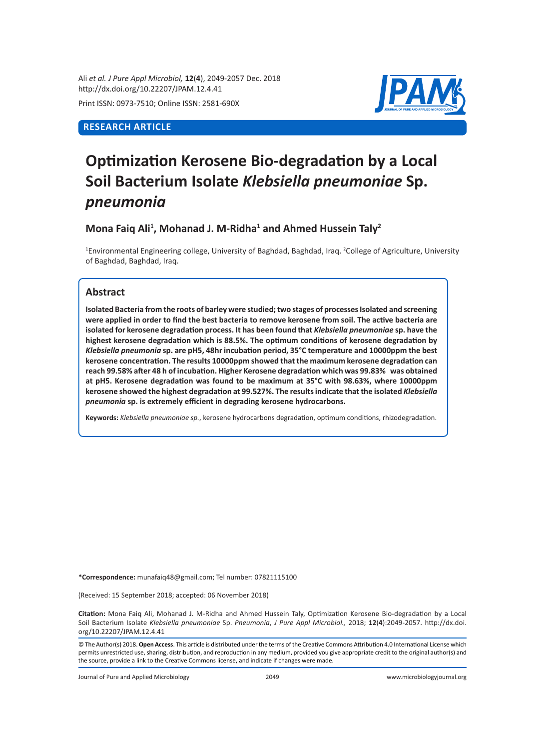Ali *et al. J Pure Appl Microbiol,* **12**(**4**), 2049-2057 Dec. 2018 http://dx.doi.org/10.22207/JPAM.12.4.41 Print ISSN: 0973-7510; Online ISSN: 2581-690X

# **RESEARCH ARTICLE**



# **Optimization Kerosene Bio-degradation by a Local Soil Bacterium Isolate** *Klebsiella pneumoniae* **Sp.**  *pneumonia*

**Mona Faiq Ali<sup>1</sup> , Mohanad J. M-Ridha<sup>1</sup> and Ahmed Hussein Taly<sup>2</sup>**

<sup>1</sup>Environmental Engineering college, University of Baghdad, Baghdad, Iraq. <sup>2</sup>College of Agriculture, University of Baghdad, Baghdad, Iraq.

# **Abstract**

**Isolated Bacteria from the roots of barley were studied; two stages of processes Isolated and screening were applied in order to find the best bacteria to remove kerosene from soil. The active bacteria are isolated for kerosene degradation process. It has been found that** *Klebsiella pneumoniae* **sp. have the highest kerosene degradation which is 88.5%. The optimum conditions of kerosene degradation by**  *Klebsiella pneumonia* **sp. are pH5, 48hr incubation period, 35°C temperature and 10000ppm the best kerosene concentration. The results 10000ppm showed that the maximum kerosene degradation can reach 99.58% after 48 h of incubation. Higher Kerosene degradation which was 99.83% was obtained at pH5. Kerosene degradation was found to be maximum at 35°C with 98.63%, where 10000ppm kerosene showed the highest degradation at 99.527%. The results indicate that the isolated** *Klebsiella pneumonia* **sp. is extremely efficient in degrading kerosene hydrocarbons.**

**Keywords:** *Klebsiella pneumoniae sp.*, kerosene hydrocarbons degradation, optimum conditions, rhizodegradation.

**\*Correspondence:** munafaiq48@gmail.com; Tel number: 07821115100

(Received: 15 September 2018; accepted: 06 November 2018)

**Citation:** Mona Faiq Ali, Mohanad J. M-Ridha and Ahmed Hussein Taly, Optimization Kerosene Bio-degradation by a Local Soil Bacterium Isolate *Klebsiella pneumoniae* Sp. *Pneumonia*, *J Pure Appl Microbiol.,* 2018; **12**(**4**):2049-2057. http://dx.doi. org/10.22207/JPAM.12.4.41

© The Author(s) 2018. **Open Access**. This article is distributed under the terms of the Creative Commons Attribution 4.0 International License which permits unrestricted use, sharing, distribution, and reproduction in any medium, provided you give appropriate credit to the original author(s) and the source, provide a link to the Creative Commons license, and indicate if changes were made.

Journal of Pure and Applied Microbiology 2049 www.microbiologyjournal.org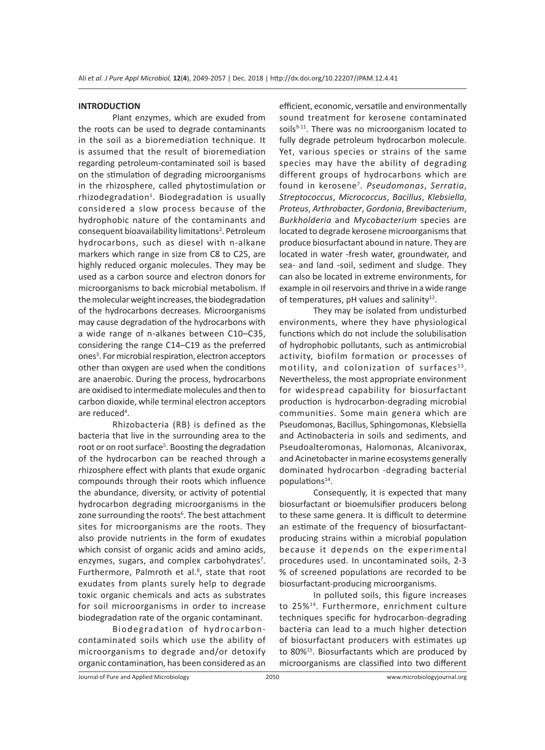## **INTRODUCTION**

Plant enzymes, which are exuded from the roots can be used to degrade contaminants in the soil as a bioremediation technique. It is assumed that the result of bioremediation regarding petroleum-contaminated soil is based on the stimulation of degrading microorganisms in the rhizosphere, called phytostimulation or rhizodegradation<sup>1</sup>. Biodegradation is usually considered a slow process because of the hydrophobic nature of the contaminants and consequent bioavailability limitations<sup>2</sup>. Petroleum hydrocarbons, such as diesel with n-alkane markers which range in size from C8 to C25, are highly reduced organic molecules. They may be used as a carbon source and electron donors for microorganisms to back microbial metabolism. If the molecular weight increases, the biodegradation of the hydrocarbons decreases. Microorganisms may cause degradation of the hydrocarbons with a wide range of n-alkanes between C10–C35, considering the range C14–C19 as the preferred ones<sup>3</sup>. For microbial respiration, electron acceptors other than oxygen are used when the conditions are anaerobic. During the process, hydrocarbons are oxidised to intermediate molecules and then to carbon dioxide, while terminal electron acceptors are reduced<sup>4</sup>.

Rhizobacteria (RB) is defined as the bacteria that live in the surrounding area to the root or on root surface<sup>5</sup>. Boosting the degradation of the hydrocarbon can be reached through a rhizosphere effect with plants that exude organic compounds through their roots which influence the abundance, diversity, or activity of potential hydrocarbon degrading microorganisms in the zone surrounding the roots<sup>6</sup>. The best attachment sites for microorganisms are the roots. They also provide nutrients in the form of exudates which consist of organic acids and amino acids, enzymes, sugars, and complex carbohydrates<sup>7</sup>. Furthermore, Palmroth et al.<sup>8</sup>, state that root exudates from plants surely help to degrade toxic organic chemicals and acts as substrates for soil microorganisms in order to increase biodegradation rate of the organic contaminant.

Biodegradation of hydrocarboncontaminated soils which use the ability of microorganisms to degrade and/or detoxify organic contamination, has been considered as an efficient, economic, versatile and environmentally sound treatment for kerosene contaminated soils $9-11$ . There was no microorganism located to fully degrade petroleum hydrocarbon molecule. Yet, various species or strains of the same species may have the ability of degrading different groups of hydrocarbons which are found in kerosene7 . *Pseudomonas*, *Serratia*, *Streptococcus*, *Micrococcus*, *Bacillus*, *Klebsiella*, *Proteus*, *Arthrobacter*, *Gordonia*, *Brevibacterium*, *Burkholderia* and *Mycobacterium* species are located to degrade kerosene microorganisms that produce biosurfactant abound in nature. They are located in water -fresh water, groundwater, and sea- and land -soil, sediment and sludge. They can also be located in extreme environments, for example in oil reservoirs and thrive in a wide range of temperatures,  $pH$  values and salinity<sup>12</sup>.

They may be isolated from undisturbed environments, where they have physiological functions which do not include the solubilisation of hydrophobic pollutants, such as antimicrobial activity, biofilm formation or processes of motility, and colonization of surfaces $^{13}$ . Nevertheless, the most appropriate environment for widespread capability for biosurfactant production is hydrocarbon-degrading microbial communities. Some main genera which are Pseudomonas, Bacillus, Sphingomonas, Klebsiella and Actinobacteria in soils and sediments, and Pseudoalteromonas, Halomonas, Alcanivorax, and Acinetobacter in marine ecosystems generally dominated hydrocarbon -degrading bacterial populations $14$ .

Consequently, it is expected that many biosurfactant or bioemulsifier producers belong to these same genera. It is difficult to determine an estimate of the frequency of biosurfactantproducing strains within a microbial population because it depends on the experimental procedures used. In uncontaminated soils, 2-3 % of screened populations are recorded to be biosurfactant-producing microorganisms.

In polluted soils, this figure increases to 25%14. Furthermore, enrichment culture techniques specific for hydrocarbon-degrading bacteria can lead to a much higher detection of biosurfactant producers with estimates up to 80%15. Biosurfactants which are produced by microorganisms are classified into two different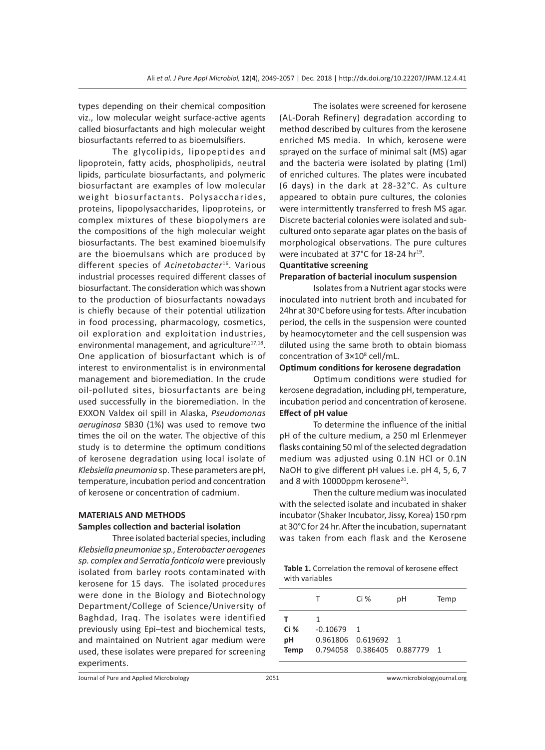types depending on their chemical composition viz., low molecular weight surface-active agents called biosurfactants and high molecular weight biosurfactants referred to as bioemulsifiers.

The glycolipids, lipopeptides and lipoprotein, fatty acids, phospholipids, neutral lipids, particulate biosurfactants, and polymeric biosurfactant are examples of low molecular weight biosurfactants. Polysaccharides, proteins, lipopolysaccharides, lipoproteins, or complex mixtures of these biopolymers are the compositions of the high molecular weight biosurfactants. The best examined bioemulsify are the bioemulsans which are produced by different species of *Acinetobacter*16. Various industrial processes required different classes of biosurfactant. The consideration which was shown to the production of biosurfactants nowadays is chiefly because of their potential utilization in food processing, pharmacology, cosmetics, oil exploration and exploitation industries, environmental management, and agriculture<sup>17,18</sup>. One application of biosurfactant which is of interest to environmentalist is in environmental management and bioremediation. In the crude oil-polluted sites, biosurfactants are being used successfully in the bioremediation. In the EXXON Valdex oil spill in Alaska, *Pseudomonas aeruginosa* SB30 (1%) was used to remove two times the oil on the water. The objective of this study is to determine the optimum conditions of kerosene degradation using local isolate of *Klebsiella pneumonia* sp. These parameters are pH, temperature, incubation period and concentration of kerosene or concentration of cadmium.

## **MATERIALS AND METHODS**

# **Samples collection and bacterial isolation**

Three isolated bacterial species, including *Klebsiella pneumoniae sp., Enterobacter aerogenes sp. complex and Serratia fonticola* were previously isolated from barley roots contaminated with kerosene for 15 days. The isolated procedures were done in the Biology and Biotechnology Department/College of Science/University of Baghdad, Iraq. The isolates were identified previously using Epi–test and biochemical tests, and maintained on Nutrient agar medium were used, these isolates were prepared for screening experiments.

The isolates were screened for kerosene (AL-Dorah Refinery) degradation according to method described by cultures from the kerosene enriched MS media. In which, kerosene were sprayed on the surface of minimal salt (MS) agar and the bacteria were isolated by plating (1ml) of enriched cultures. The plates were incubated (6 days) in the dark at 28-32°C. As culture appeared to obtain pure cultures, the colonies were intermittently transferred to fresh MS agar. Discrete bacterial colonies were isolated and subcultured onto separate agar plates on the basis of morphological observations. The pure cultures were incubated at 37°C for 18-24 hr<sup>19</sup>.

# **Quantitative screening Preparation of bacterial inoculum suspension**

Isolates from a Nutrient agar stocks were inoculated into nutrient broth and incubated for 24hr at 30°C before using for tests. After incubation period, the cells in the suspension were counted by heamocytometer and the cell suspension was diluted using the same broth to obtain biomass concentration of 3×10<sup>8</sup> cell/mL.

#### **Optimum conditions for kerosene degradation**

Optimum conditions were studied for kerosene degradation, including pH, temperature, incubation period and concentration of kerosene. **Effect of pH value**

To determine the influence of the initial pH of the culture medium, a 250 ml Erlenmeyer flasks containing 50 ml of the selected degradation medium was adjusted using 0.1N HCl or 0.1N NaOH to give different pH values i.e. pH 4, 5, 6, 7 and 8 with 10000ppm kerosene<sup>20</sup>.

Then the culture medium was inoculated with the selected isolate and incubated in shaker incubator (Shaker Incubator, Jissy, Korea) 150 rpm at 30°C for 24 hr. After the incubation, supernatant was taken from each flask and the Kerosene

**Table 1.** Correlation the removal of kerosene effect with variables

|                               |                 | Ci %                                                                    | рH | Temp |
|-------------------------------|-----------------|-------------------------------------------------------------------------|----|------|
| т<br>Ci%<br>рH<br><b>Temp</b> | 1<br>$-0.10679$ | $\overline{1}$<br>0.961806  0.619692  1<br>0.794058  0.386405  0.887779 |    |      |
|                               |                 |                                                                         |    |      |

Journal of Pure and Applied Microbiology 2051 www.microbiologyjournal.org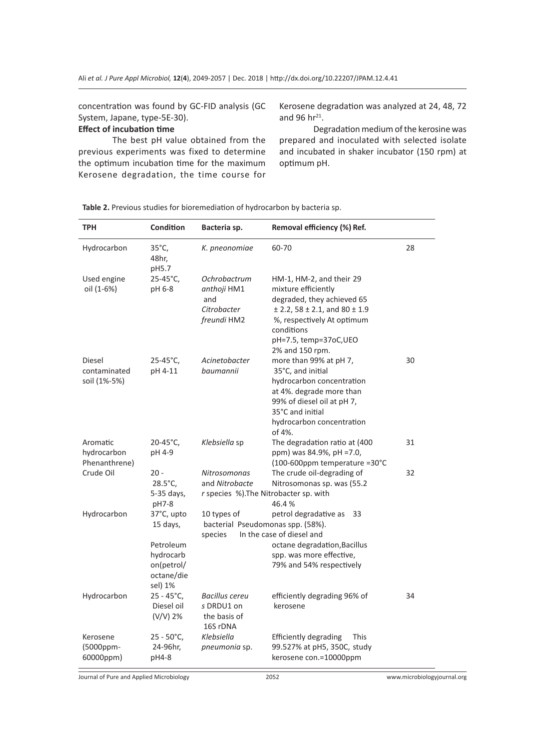concentration was found by GC-FID analysis (GC System, Japane, type-5E-30).

# **Effect of incubation time**

The best pH value obtained from the previous experiments was fixed to determine the optimum incubation time for the maximum Kerosene degradation, the time course for

Kerosene degradation was analyzed at 24, 48, 72 and 96  $hr^{21}$ .

Degradation medium of the kerosine was prepared and inoculated with selected isolate and incubated in shaker incubator (150 rpm) at optimum pH.

**Table 2.** Previous studies for bioremediation of hydrocarbon by bacteria sp.

| <b>TPH</b>                               | Condition                                                     | Bacteria sp.                                                                                                            | Removal efficiency (%) Ref.                                                                                                                                                                                   |    |
|------------------------------------------|---------------------------------------------------------------|-------------------------------------------------------------------------------------------------------------------------|---------------------------------------------------------------------------------------------------------------------------------------------------------------------------------------------------------------|----|
| Hydrocarbon                              | 35°C,<br>48hr,<br>pH5.7                                       | K. pneonomiae                                                                                                           | 60-70                                                                                                                                                                                                         | 28 |
| Used engine<br>oil (1-6%)                | 25-45°C,<br>pH 6-8                                            | Ochrobactrum<br>anthoji HM1<br>and<br>Citrobacter<br>freundi HM2                                                        | HM-1, HM-2, and their 29<br>mixture efficiently<br>degraded, they achieved 65<br>$±$ 2.2, 58 $±$ 2.1, and 80 $±$ 1.9<br>%, respectively At optimum<br>conditions<br>pH=7.5, temp=37oC, UEO<br>2% and 150 rpm. |    |
| Diesel<br>contaminated<br>soil (1%-5%)   | $25 - 45^{\circ}C$ ,<br>pH 4-11                               | Acinetobacter<br>baumannii                                                                                              | more than 99% at pH 7,<br>35°C, and initial<br>hydrocarbon concentration<br>at 4%. degrade more than<br>99% of diesel oil at pH 7,<br>35°C and initial<br>hydrocarbon concentration<br>of 4%.                 | 30 |
| Aromatic<br>hydrocarbon<br>Phenanthrene) | $20 - 45^{\circ}C$<br>pH 4-9                                  | Klebsiella sp                                                                                                           | The degradation ratio at (400<br>ppm) was 84.9%, pH =7.0,<br>(100-600ppm temperature =30°C                                                                                                                    | 31 |
| Crude Oil                                | $20 -$<br>$28.5^{\circ}$ C,<br>5-35 days,<br>pH7-8            | Nitrosomonas<br>and Nitrobacte<br>r species %). The Nitrobacter sp. with                                                | The crude oil-degrading of<br>Nitrosomonas sp. was (55.2<br>46.4%                                                                                                                                             | 32 |
| Hydrocarbon                              | 37°C, upto<br>15 days,                                        | 10 types of<br>petrol degradative as<br>33<br>bacterial Pseudomonas spp. (58%).<br>In the case of diesel and<br>species |                                                                                                                                                                                                               |    |
|                                          | Petroleum<br>hydrocarb<br>on(petrol/<br>octane/die<br>sel) 1% |                                                                                                                         | octane degradation, Bacillus<br>spp. was more effective,<br>79% and 54% respectively                                                                                                                          |    |
| Hydrocarbon                              | $25 - 45^{\circ}$ C,<br>Diesel oil<br>(V/V) 2%                | <b>Bacillus cereu</b><br>s DRDU1 on<br>the basis of<br>16S rDNA                                                         | efficiently degrading 96% of<br>kerosene                                                                                                                                                                      | 34 |
| Kerosene<br>$(5000$ ppm-<br>60000ppm)    | $25 - 50^{\circ}$ C,<br>24-96hr,<br>pH4-8                     | Klebsiella<br>pneumonia sp.                                                                                             | Efficiently degrading<br>This<br>99.527% at pH5, 350C, study<br>kerosene con.=10000ppm                                                                                                                        |    |

Journal of Pure and Applied Microbiology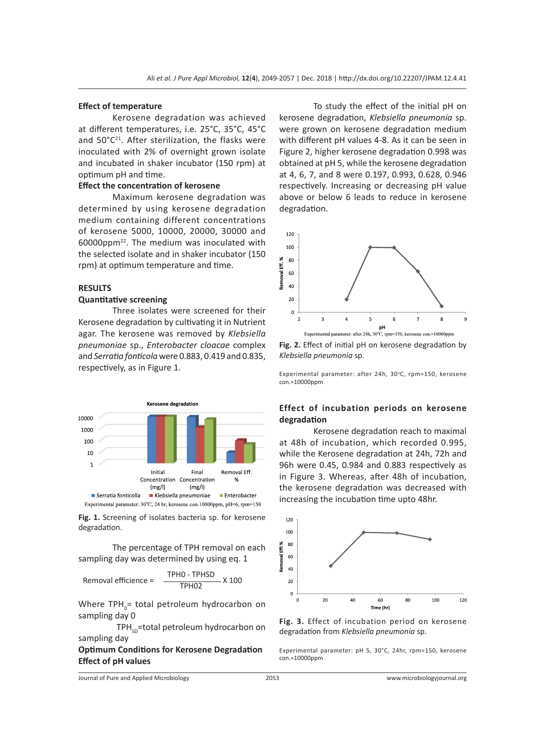#### **Effect of temperature**

Kerosene degradation was achieved at different temperatures, i.e. 25°C, 35°C, 45°C and  $50^{\circ}C^{21}$ . After sterilization, the flasks were inoculated with 2% of overnight grown isolate and incubated in shaker incubator (150 rpm) at optimum pH and time.

# **Effect the concentration of kerosene**

Maximum kerosene degradation was determined by using kerosene degradation medium containing different concentrations of kerosene 5000, 10000, 20000, 30000 and 60000ppm22. The medium was inoculated with the selected isolate and in shaker incubator (150 rpm) at optimum temperature and time.

# **RESULTS**

#### **Quantitative screening**

Three isolates were screened for their Kerosene degradation by cultivating it in Nutrient agar. The kerosene was removed by *Klebsiella pneumoniae* sp., *Enterobacter cloacae* complex and *Serratia fonticola* were 0.883, 0.419 and 0.835, respectively, as in Figure 1.



**Fig. 1.** Screening of isolates bacteria sp. for kerosene degradation.

The percentage of TPH removal on each sampling day was determined by using eq. 1

$$
Removal \, efficiency = \frac{TPHO - TPHSD}{TPHO2} \times 100
$$

Where TPH<sub>0</sub>= total petroleum hydrocarbon on sampling day 0

 $TPH<sub>sn</sub>$ =total petroleum hydrocarbon on sampling day

# **Optimum Conditions for Kerosene Degradation Effect of pH values**

Journal of Pure and Applied Microbiology 2053 www.microbiologyjournal.org

To study the effect of the initial pH on kerosene degradation, *Klebsiella pneumonia* sp. were grown on kerosene degradation medium with different pH values 4-8. As it can be seen in Figure 2, higher kerosene degradation 0.998 was obtained at pH 5, while the kerosene degradation at 4, 6, 7, and 8 were 0.197, 0.993, 0.628, 0.946 respectively. Increasing or decreasing pH value above or below 6 leads to reduce in kerosene degradation.



**Fig. 2.** Effect of initial pH on kerosene degradation by *Klebsiella pneumonia* sp.

Experimental parameter: after 24h, 30°C, rpm=150, kerosene con.=10000ppm

# **Effect of incubation periods on kerosene degradation**

Kerosene degradation reach to maximal at 48h of incubation, which recorded 0.995, while the Kerosene degradation at 24h, 72h and 96h were 0.45, 0.984 and 0.883 respectively as in Figure 3. Whereas, after 48h of incubation, the kerosene degradation was decreased with increasing the incubation time upto 48hr.



**Fig. 3.** Effect of incubation period on kerosene degradation from *Klebsiella pneumonia* sp.

Experimental parameter: pH 5, 30°C, 24hr, rpm=150, kerosene con.=10000ppm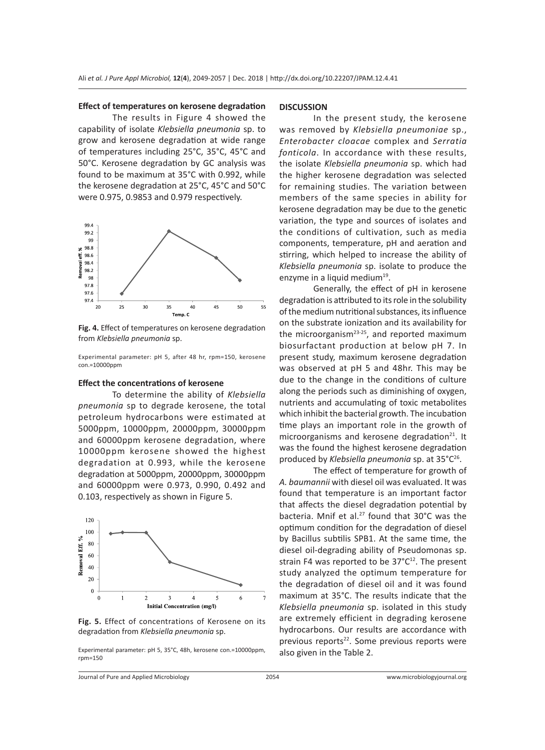#### **Effect of temperatures on kerosene degradation**

The results in Figure 4 showed the capability of isolate *Klebsiella pneumonia* sp. to grow and kerosene degradation at wide range of temperatures including 25°C, 35°C, 45°C and 50°C. Kerosene degradation by GC analysis was found to be maximum at 35°C with 0.992, while the kerosene degradation at 25°C, 45°C and 50°C were 0.975, 0.9853 and 0.979 respectively.



**Fig. 4.** Effect of temperatures on kerosene degradation from *Klebsiella pneumonia* sp.

Experimental parameter: pH 5, after 48 hr, rpm=150, kerosene con.=10000ppm

#### **Effect the concentrations of kerosene**

To determine the ability of *Klebsiella pneumonia* sp to degrade kerosene, the total petroleum hydrocarbons were estimated at 5000ppm, 10000ppm, 20000ppm, 30000ppm and 60000ppm kerosene degradation, where 10000ppm kerosene showed the highest degradation at 0.993, while the kerosene degradation at 5000ppm, 20000ppm, 30000ppm and 60000ppm were 0.973, 0.990, 0.492 and 0.103, respectively as shown in Figure 5.



**Fig. 5.** Effect of concentrations of Kerosene on its degradation from *Klebsiella pneumonia* sp.

Experimental parameter: pH 5, 35°C, 48h, kerosene con.=10000ppm, rpm=150

#### **DISCUSSION**

In the present study, the kerosene was removed by *Klebsiella pneumoniae* sp., *Enterobacter cloacae* complex and *Serratia fonticola*. In accordance with these results, the isolate *Klebsiella pneumonia* sp. which had the higher kerosene degradation was selected for remaining studies. The variation between members of the same species in ability for kerosene degradation may be due to the genetic variation, the type and sources of isolates and the conditions of cultivation, such as media components, temperature, pH and aeration and stirring, which helped to increase the ability of *Klebsiella pneumonia* sp. isolate to produce the enzyme in a liquid medium<sup>19</sup>.

Generally, the effect of pH in kerosene degradation is attributed to its role in the solubility of the medium nutritional substances, its influence on the substrate ionization and its availability for the microorganism<sup>23-25</sup>, and reported maximum biosurfactant production at below pH 7. In present study, maximum kerosene degradation was observed at pH 5 and 48hr. This may be due to the change in the conditions of culture along the periods such as diminishing of oxygen, nutrients and accumulating of toxic metabolites which inhibit the bacterial growth. The incubation time plays an important role in the growth of microorganisms and kerosene degradation $21$ . It was the found the highest kerosene degradation produced by *Klebsiella pneumonia* sp. at 35°C26.

The effect of temperature for growth of *A. baumannii* with diesel oil was evaluated. It was found that temperature is an important factor that affects the diesel degradation potential by bacteria. Mnif et al.<sup>27</sup> found that 30°C was the optimum condition for the degradation of diesel by Bacillus subtilis SPB1. At the same time, the diesel oil-degrading ability of Pseudomonas sp. strain F4 was reported to be  $37^{\circ}C^{12}$ . The present study analyzed the optimum temperature for the degradation of diesel oil and it was found maximum at 35°C. The results indicate that the *Klebsiella pneumonia* sp. isolated in this study are extremely efficient in degrading kerosene hydrocarbons. Our results are accordance with previous reports<sup>22</sup>. Some previous reports were also given in the Table 2.

Journal of Pure and Applied Microbiology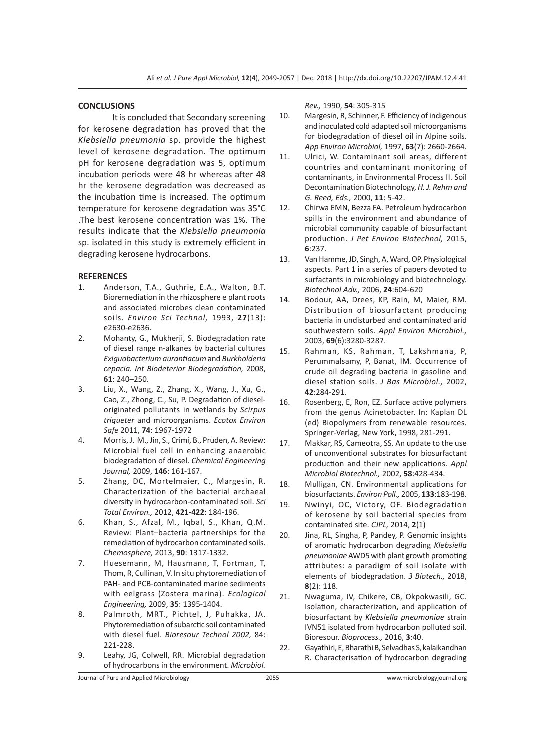## **CONCLUSIONS**

It is concluded that Secondary screening for kerosene degradation has proved that the *Klebsiella pneumonia* sp. provide the highest level of kerosene degradation. The optimum pH for kerosene degradation was 5, optimum incubation periods were 48 hr whereas after 48 hr the kerosene degradation was decreased as the incubation time is increased. The optimum temperature for kerosene degradation was 35°C .The best kerosene concentration was 1%. The results indicate that the *Klebsiella pneumonia* sp. isolated in this study is extremely efficient in degrading kerosene hydrocarbons.

## **REFERENCES**

- 1. Anderson, T.A., Guthrie, E.A., Walton, B.T. Bioremediation in the rhizosphere e plant roots and associated microbes clean contaminated soils. *Environ Sci Technol,* 1993, **27**(13): e2630-e2636.
- 2. Mohanty, G., Mukherji, S. Biodegradation rate of diesel range n-alkanes by bacterial cultures *Exiguobacterium aurantiacum* and *Burkholderia cepacia. Int Biodeterior Biodegradation,* 2008, **61**: 240–250.
- 3. Liu, X., Wang, Z., Zhang, X., Wang, J., Xu, G., Cao, Z., Zhong, C., Su, P. Degradation of dieseloriginated pollutants in wetlands by *Scirpus triqueter* and microorganisms. *Ecotox Environ Safe* 2011, **74**: 1967-1972
- 4. Morris, J. M., Jin, S., Crimi, B., Pruden, A. Review: Microbial fuel cell in enhancing anaerobic biodegradation of diesel. *Chemical Engineering Journal,* 2009, **146**: 161-167.
- 5. Zhang, DC, Mortelmaier, C., Margesin, R. Characterization of the bacterial archaeal diversity in hydrocarbon-contaminated soil. *Sci Total Environ.,* 2012, **421-422**: 184-196.
- 6. Khan, S., Afzal, M., Iqbal, S., Khan, Q.M. Review: Plant–bacteria partnerships for the remediation of hydrocarbon contaminated soils. *Chemosphere,* 2013, **90**: 1317-1332.
- 7. Huesemann, M, Hausmann, T, Fortman, T, Thom, R, Cullinan, V. In situ phytoremediation of PAH- and PCB-contaminated marine sediments with eelgrass (Zostera marina). *Ecological Engineering,* 2009, **35**: 1395-1404.
- 8. Palmroth, MRT., Pichtel, J, Puhakka, JA. Phytoremediation of subarctic soil contaminated with diesel fuel. *Bioresour Technol 2002,* 84: 221-228.
- 9. Leahy, JG, Colwell, RR. Microbial degradation of hydrocarbons in the environment. *Microbiol.*

*Rev.,* 1990, **54**: 305-315

- 10. Margesin, R, Schinner, F. Efficiency of indigenous and inoculated cold adapted soil microorganisms for biodegradation of diesel oil in Alpine soils. *App Environ Microbiol,* 1997, **63**(7): 2660-2664.
- 11. Ulrici, W. Contaminant soil areas, different countries and contaminant monitoring of contaminants, in Environmental Process II. Soil Decontamination Biotechnology, *H. J. Rehm and G. Reed, Eds.,* 2000, **11**: 5-42.
- 12. Chirwa EMN, Bezza FA. Petroleum hydrocarbon spills in the environment and abundance of microbial community capable of biosurfactant production. *J Pet Environ Biotechnol,* 2015, **6**:237.
- 13. Van Hamme, JD, Singh, A, Ward, OP. Physiological aspects. Part 1 in a series of papers devoted to surfactants in microbiology and biotechnology. *Biotechnol Adv.,* 2006, **24**:604-620
- 14. Bodour, AA, Drees, KP, Rain, M, Maier, RM. Distribution of biosurfactant producing bacteria in undisturbed and contaminated arid southwestern soils. *Appl Environ Microbiol.,* 2003, **69**(6):3280-3287.
- 15. Rahman, KS, Rahman, T, Lakshmana, P, Perummalsamy, P, Banat, IM. Occurrence of crude oil degrading bacteria in gasoline and diesel station soils. *J Bas Microbiol.,* 2002, **42**:284-291.
- 16. Rosenberg, E, Ron, EZ. Surface active polymers from the genus Acinetobacter. In: Kaplan DL (ed) Biopolymers from renewable resources. Springer-Verlag, New York, 1998, 281-291.
- 17. Makkar, RS, Cameotra, SS. An update to the use of unconventional substrates for biosurfactant production and their new applications. *Appl Microbiol Biotechnol.,* 2002, **58**:428-434.
- 18. Mulligan, CN. Environmental applications for biosurfactants. *Environ Poll.,* 2005, **133**:183-198.
- 19. Nwinyi, OC, Victory, OF. Biodegradation of kerosene by soil bacterial species from contaminated site. *CJPL,* 2014, **2**(1)
- 20. Jina, RL, Singha, P, Pandey, P. Genomic insights of aromatic hydrocarbon degrading *Klebsiella pneumoniae* AWD5 with plant growth promoting attributes: a paradigm of soil isolate with elements of biodegradation. *3 Biotech.,* 2018, **8**(2): 118.
- 21. Nwaguma, IV, Chikere, CB, Okpokwasili, GC. Isolation, characterization, and application of biosurfactant by *Klebsiella pneumoniae* strain IVN51 isolated from hydrocarbon polluted soil. Bioresour. *Bioprocess.,* 2016, **3**:40.
- 22. Gayathiri, E, Bharathi B, Selvadhas S, kalaikandhan R. Characterisation of hydrocarbon degrading

Journal of Pure and Applied Microbiology 2055 www.microbiologyjournal.org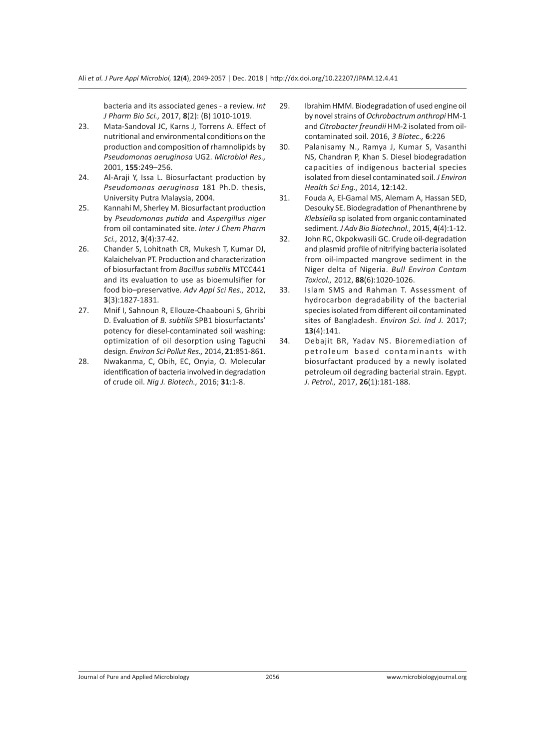bacteria and its associated genes - a review. *Int J Pharm Bio Sci.,* 2017, **8**(2): (B) 1010-1019.

- 23. Mata-Sandoval JC, Karns J, Torrens A. Effect of nutritional and environmental conditions on the production and composition of rhamnolipids by *Pseudomonas aeruginosa* UG2. *Microbiol Res.,* 2001, **155**:249–256.
- 24. Al-Araji Y, Issa L. Biosurfactant production by *Pseudomonas aeruginosa* 181 Ph.D. thesis, University Putra Malaysia, 2004.
- 25. Kannahi M, Sherley M. Biosurfactant production by *Pseudomonas putida* and *Aspergillus niger* from oil contaminated site. *Inter J Chem Pharm Sci.,* 2012, **3**(4):37-42.
- 26. Chander S, Lohitnath CR, Mukesh T, Kumar DJ, Kalaichelvan PT. Production and characterization of biosurfactant from *Bacillus subtilis* MTCC441 and its evaluation to use as bioemulsifier for food bio–preservative. *Adv Appl Sci Res.,* 2012, **3**(3):1827-1831.
- 27. Mnif I, Sahnoun R, Ellouze-Chaabouni S, Ghribi D. Evaluation of *B. subtilis* SPB1 biosurfactants' potency for diesel-contaminated soil washing: optimization of oil desorption using Taguchi design. *Environ Sci Pollut Res.,* 2014, **21**:851-861.
- 28. Nwakanma, C, Obih, EC, Onyia, O. Molecular identification of bacteria involved in degradation of crude oil. *Nig J. Biotech.,* 2016; **31**:1-8.
- 29. Ibrahim HMM. Biodegradation of used engine oil by novel strains of *Ochrobactrum anthropi* HM-1 and *Citrobacter freundii* HM-2 isolated from oilcontaminated soil. 2016, *3 Biotec.,* **6**:226
- 30. Palanisamy N., Ramya J, Kumar S, Vasanthi NS, Chandran P, Khan S. Diesel biodegradation capacities of indigenous bacterial species isolated from diesel contaminated soil. *J Environ Health Sci Eng.,* 2014, **12**:142.
- 31. Fouda A, El-Gamal MS, Alemam A, Hassan SED, Desouky SE. Biodegradation of Phenanthrene by *Klebsiella* sp isolated from organic contaminated sediment. *J Adv Bio Biotechnol.,* 2015, **4**(4):1-12.
- 32. John RC, Okpokwasili GC. Crude oil-degradation and plasmid profile of nitrifying bacteria isolated from oil-impacted mangrove sediment in the Niger delta of Nigeria. *Bull Environ Contam Toxicol.,* 2012, **88**(6):1020-1026.
- 33. Islam SMS and Rahman T. Assessment of hydrocarbon degradability of the bacterial species isolated from different oil contaminated sites of Bangladesh. *Environ Sci. Ind J.* 2017; **13**(4):141.
- 34. Debajit BR, Yadav NS. Bioremediation of petroleum based contaminants with biosurfactant produced by a newly isolated petroleum oil degrading bacterial strain. Egypt. *J. Petrol.,* 2017, **26**(1):181-188.